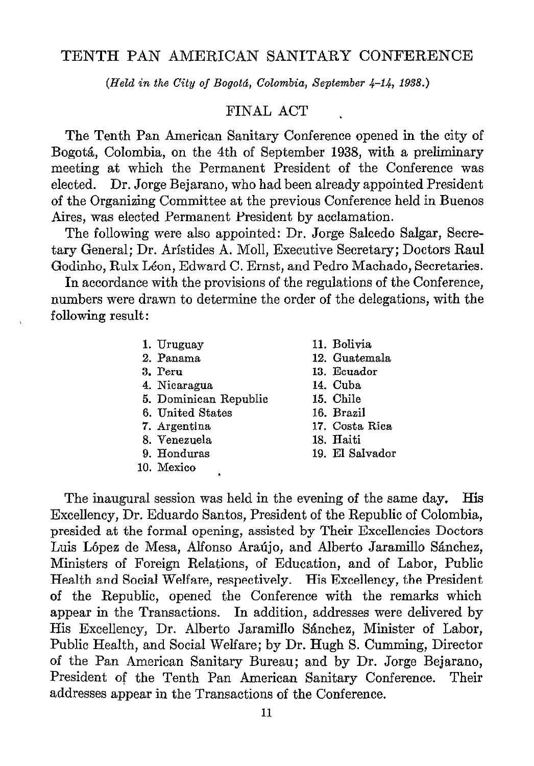# TENTH PAN AMERICAN SANITARY CONFERENCE

(Held in the City of Bogotá, Colombia, September 4-14, 1938.)

# FINAL ACT

The Tenth Pan American Sanitary Conference opened in the city of Bogotá, Colombia, on the 4th of September 1938, with a preliminary meeting at which the Permanent President of the Conference was elected. Dr. Jorge Bejarano, who had been already appointed President of the Organizing Committee at the previous Conference held in Buenos Aires, was elected Permanent President by acclamation.

The following were also appointed: Dr. Jorge Salcedo Salgar, Secretary General; Dr. Arístides A. Moll, Executive Secretary; Doctors Raul Godinho, Rulx Léon, Edward C. Ernst, and Pedro Machado, Secretaries.

In accordance with the provisions of the regulations of the Conference, numbers were drawn to determine the order of the delegations, with the following result:

- 1. Uruguay
- 2. Panama
- 3. Peru
- 4. Nicaragua
- 5. Dominican Republic
- 6. United States
- 7. Argentina
- 8. Venezuela
- 9. Honduras
- 10. Mexico .
- ll. Bolivia
- 12. Guatemala
- 13. Ecuador
- 14. Cuba
- 15. Chile
- 16. Brasil
- 17. Costa Rica
- 18. Haiti
- 19. El Salvador

The inaugural session was held in the evening of the same day. His Excellency, Dr. Eduardo Santos, President of the Republic of Colombia, presided at the formal opening, assisted by Their Excellencies Doctors Luis López de Mesa, Alfonso Araújo, and Alberto Jaramillo Sánchez, Ministers of Foreign Relations, of Education, and of Labor, PubIic Health and Social Welfare, respectively. His Excellency, the President of the Republic, opened the Conference with the remarks which appear in the Transactions. In addition, addresses were delivered by His Excellency, Dr. Alberto Jaramillo Sánchez, Minister of Labor, Public Health, and Social Welfare; by Dr. Hugh S. Cumming, Director of the Pan American Sanitary Bureau; and by Dr. Jorge Bejarano, President of the Tenth Pan American Sanitary Conference. Their addresses appear in the Transactions of the Conference.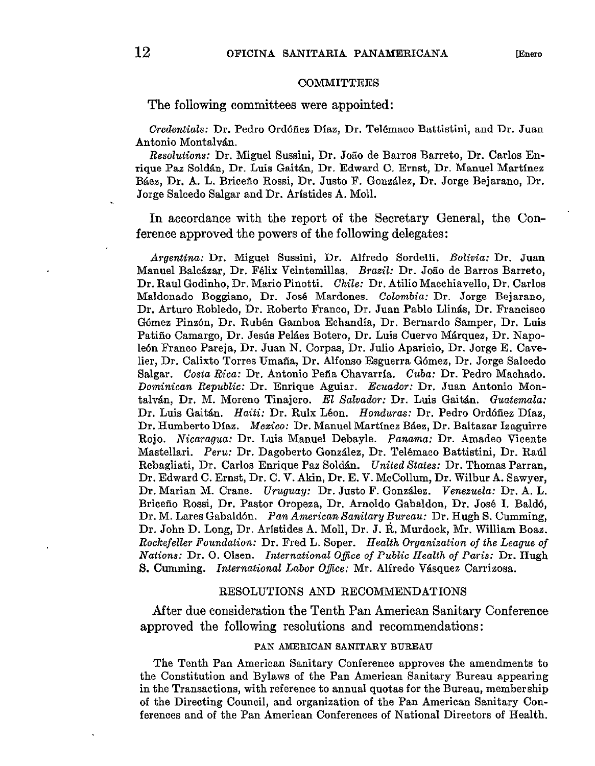#### **COMMITTEES**

The following committees were appointed:

Credentials: Dr. Pedro Ordóñez Díaz, Dr. Telémaco Battistini, and Dr. Juan Antonio Montalvan.

Resolutions: Dr. Miguel Sussini, Dr. Jo50 de Barros Barreto, Dr. Carlos Enrique Paz Soldan, Dr. Luis Gait&n, Dr. Edward C. Ernst, Dr. Manuel Martfnez BBez, Dr. A. L. Briceño Rossi, Dr. Justo F. Gonzalez, Dr. Jorge Bejarano, Dr. Jorge Salcedo Salgar and Dr. Aristides A. Moll.

In accordance with the report of the Secretary General, the Conference approved the powers of the following delegates:

Argentina: Dr. Miguel Sussini, Dr. Alfredo Sordelli. Bolivia: Dr. Juan Manuel Baleazar, Dr. Félix Veintemillas. Brazil: Dr. João de Barros Barreto, Dr. Raul Godinho, Dr. Mario Pinotti. Chile: Dr. AtilioMacchiavello, Dr. Carlos Maldonado Boggiano, Dr. José Mardones. Colombia: Dr. Jorge Bejarano, Dr. Arturo Robledo, Dr. Roberto Franco, Dr. Juan Pablo Llinás, Dr. Francisco Gómez Pinzón, Dr. Rubén Gamboa Echandía, Dr. Bernardo Samper, Dr. Luis Patiño Camargo, Dr. Jesús Peláez Botero, Dr. Luis Cuervo Marquez, Dr. Napole6n Franco Pareja, Dr. Juan N. Corpas, Dr. Julio Aparicio, Dr. Jorge E. Cavelier, Dr. Calixto Torres Umaña, Dr. Alfonso Esguerra Gómez, Dr. Jorge Salcedo Salgar. Costa Rica: Dr. Antonio Peña Chavarrfa. Cuba: Dr. Pedro Machado. Dominican Republic: Dr. Enrique Aguiar. Ecuador: Dr. Juan Antonio Montalvan, Dr. M. Moreno Tinajero. El Salvador: Dr. Luis Gaitán. Guatemala: Dr. Luis Gaitán. Haiti: Dr. Rulx Léon. Honduras: Dr. Pedro Ordóñez Díaz, Dr. Humberto Dfaz. Mezico: Dr. Manuel Martínez Báez, Dr. Baltazar Izaguirre Rojo. Nicaragua: Dr. Luis Manuel Debayle. Panama: Dr. Amadeo Vicente Mastellari. Peru: Dr. Dagoberto González, Dr. Telémaco Battistini, Dr. Raríl Rebagliati, Dr. Carlos Enrique Paz Sold&n. United States: Dr. Thomas Parran, Dr. Edward C. Ernst, Dr. C. V. Akin, Dr. E. V. McCollum, Dr. Wilbur A. Sawyer, Dr. Marian M. Crane. Uruguay: Dr. Justo F. González. Venezuela: Dr. A. L. Briceño Rossi, Dr. Pastor Oropeza, Dr. Arnoldo Gabaldon, Dr. José 1. Baldb, Dr. M. Lares Gabaldón. Pan American Sanitary Bureau: Dr. Hugh S. Cumming, Dr. John D. Long, Dr. Aristides A. Moll, Dr. J. R. Murdock, Mr. William Boas. Rockefeller Foundation: Dr. Fred L. Soper. Health Organization of the League of Nations: Dr. O. Olsen. International Office of Public Health of Paris: Dr. Hugh S. Cumming. International Labor Office: Mr. Alfredo Vásquez Carrizosa.

# RESOLUTIONS AND RECOMMENDATIONS

After due consideration the Tenth Pan American Sanitary Conference approved the following resolutions and recommendations :

## PAN AMERICAN SANITARY BUREAU

The Tenth Pan American Sanitary Conference approves the amendments to the Constitution and Bylaws of the Pan American Sanitary Bureau appearing in the Transactions, with referente to annual quotas for the Bureau, membership of the Directing Council, and organization of the Pan American Sanitary Conferences and of the Pan American Conferences of National Directors of Health.

.,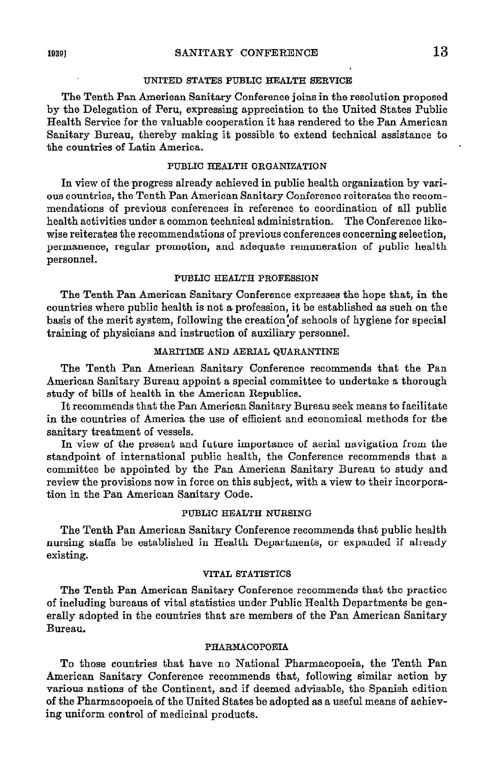### UNITED STATES PUBLIC EEALTH SERVICE

The Tenth Pan American Sanitary Conference joins in the resolution proposed by the Delegation of Peru, expressing appreciation to the United States Public Health Service for the valuable cooperation it has rendered to the Pan American Sanitary Bureau, thereby making it possible to extend technical assistance to the countries of Latin America.

# PUBLIC HEALTH ORGANIZATION

In view of the progress already achieved in public health organization by various oountries, the Tenth Pan Ameritan Sanitary Conference reiterates the recommendations of previous conferences in referente to coordination of al1 public health activities under a common technical administration. The Conference likewise reiterates the recommendations of previous conferences concerning selection, permanence, regular promotion, and adequate remuneration of public health personnel.

#### PUBLIC HEALTH PROFESSION

The Tenth Pan American Sanitary Conference expresses the hope that, in the countries where Publio health is not a profession, it be established as such on the basis of the merit system, following the creation of schools of hygiene for special training of physicians and instruction of auxiliary personnel.

### MARITIME AND AERIAL QUARANTINE

The Tenth Pan American Sanitary Conference recommends that the Pan American Sanitary Bureau appoint a special committee to undertake a thorough study of bills of health in the Amerioan Republics.

It recommends that the Pan Amerioan Sanitary Bureau seek means to facilitate in the countries of America the use of efficient and economical methods for the sanitary treatment of vessels.

In view of the present and future importance of aerial navigation from the standpoint of international public health, the Conference recommends that a committee be appointed by the Pan American Sanitary Bureau to study and review the provisions now in force on this subject, with a view to their incorporation in the Pan American Sanitary Code.

### PUBLIC HEALTH NURSING

The Tenth Pan American Sanitary Conference recommends that public health nursing staffs be established in Health Departments, or expanded if already existing.

### VITAL STATISTICS

The Tenth Pan American Sanitary Conference recommends that the practice of inoluding bureaus of vital statistics under Public Health Departments be generally adopted in the countries that are members of the Pan American Sanitary Bureau.

#### PHARMACOPOEIA

To those countries that have no National Pharmacopoeia, the Tenth Pan American Sanitary Conference recommends that, following similar action by various nations of the Continent, and if deemed advisable, the Spanish edition of the Pharmacopoeia of the United States be adopted as a useful means of achieving uniform control of medicinal producta.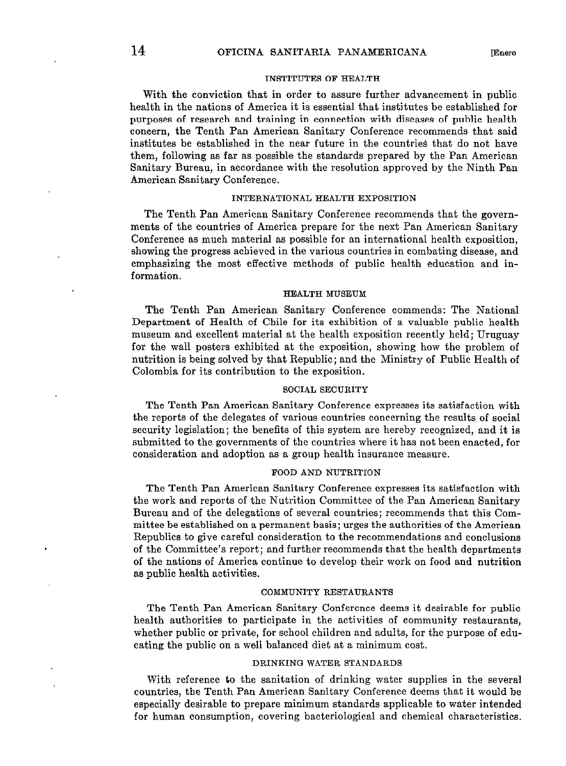## INSTITUTES OF HEALTH

With the conviction that in order to assure further advancement in public health in the nations of America it is essential that institutes be established for purposes of research and training in connection witb diseases of public health concern, the Tenth Pan Ameriean Sanitary Conference recommends that said institutes be established in the near future in the countries that do not have them, following as far as possible the standards prepared by the Pan American Sanitary Bureau, in accordance with the resolution approved by the Ninth Pan American Sanitary Conference.

### INTERNATIONAL HEALTH EXPOSITION

The Tenth Pan American Sanitary Conference recommends that the governments of the countries of America prepare for the next Pan American Sanitary Conference as much material as possible for an international health exposition, showing the progresa achieved in the various countries in combating disease, and emphasiaing the most effective methods of public health education and information.

#### HEALTH MUSEUM

The Tenth Pan Ameriean Sanitary Conference commends: The National Department of Health of Chile for its exhibition of a valuable public health museum and excellent material at the health exposition recently held; Uruguay for the Wall posters exhibited at the exposition, showing how the problem of nutrition is being solved by that Republic; and the Ministry of Public Health of Colombia for its contribution to the exposition.

#### SOCIAL SECURITY

The Tenth Pan American Sanitary Conference expresses its satisfaction with the reporta of the delegates of various countries concerning the resulta of social security legislation; the benefits of this system are hereby recognized, and it is submitted to the governments of the countries where it has not been enacted, for consideration and adoption as a group health insurance measure.

#### FOOD AND NUTRITION

The Tenth Pan American Sanitary Conference expresses its satisfaction with the work and reports of the Nutrition Committee of the Pan American Sanitary Bureau and of the delegations of severa1 countries; recommends that this Committee be established on a permanent basis; urges the authorities of the American Republics to give careful consideration to the recommendations and conclusions of the Committee's report; and further recommends that the health departments of the nations of America continue to develop their work on food and nutrition as public health activities.

### COMMUNITY RESTAURANTS

The Tenth Pan American Sanitary Conference deems it desirable for public health authorities to participate in the activities of community restaurants, whether public or private, for school children and adults, for the purpose of educating the public on a well balanced diet at a minimum cost.

### DRINKING WATER STANDARDS

With reference to the sanitation of drinking water supplies in the several countries, the Tenth Pan Ameritan Sanitary Conference deems that it would be especially desirable to prepare minimum standards applicable to water intended for human consumption, covering bacteriological and chemical characteristics.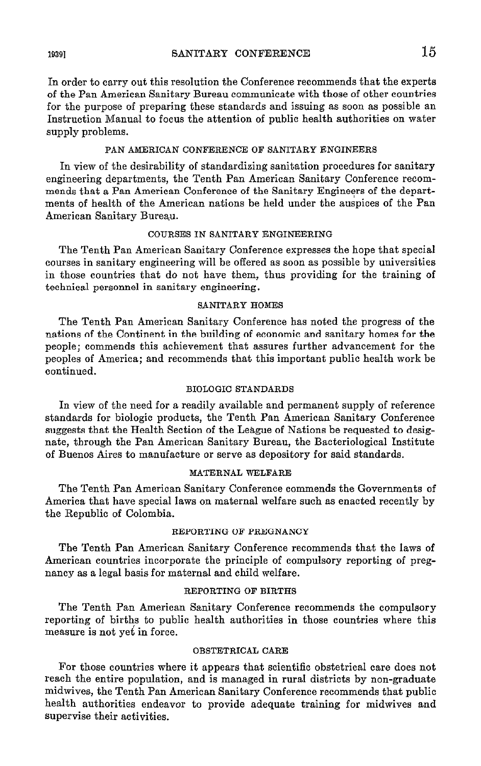In order to carry out this resolution the Conference recommends that the experts of the Pan American Sanitary Bureau communicate with those of other countries for the purpose of preparing these standards and issuing as soon as possible an Instruction Manual to focus the attention of public health authorities on water supply problems.

## PAN AMERICAN CONFERENCE OF SANITARY ENGINEERS

In view of the desirability of standardizing sanitation procedures for sanitary engineering departments, the Tenth Pan American Sanitary Conference recommends that a Pan American Conference of the Sanitary Engineers of the departments of health of the American nations be held under the auspices of the Pan American Sanitary Bureau.

# COURSES IN SANITARY ENGINEERING

The Tenth Pan American Sanitary Conference expresses the hope that special courses in sanitary engineering will be offered as soon as possible by universities in those countries that do not have them, thus providing for the training of technical personnel in sanitary engineering.

# SANITARY HOMES

The Tenth Pan American Sanitary Conference has noted the progress of the nations of the Continent in the building of economic and sanitary homes for the people; commends this achievement that assures further advancement for the peoples of America; and recommends that this important public health work be continued.

### BIOLOGIC STANDARDS

In view of the need for a readily available and permanent supply of reference standards for biologic products, the Tenth Pan American Sanitary Conference suggests that the Health Section of the League of Nations be requested to designate, through the Pan American Sanitary Bureau, the Bacteriological Institute of Buenos Aires to manufacture or serve as depository for said standards.

#### MATERNAL WELFARE

The Tenth Pan American Sanitary Conference commends the Governments of America that have special laws on maternal welfare such as enacted recently by the Republic of Colombia.

### REPORTING OF PREGNANCY

The Tenth Pan American Sanitary Conference recommends that the Iaws of American countries incorporate the principie of compulsory reporting of pregnancy as a legal basis for maternal and Child welfare.

# REPORTING OF BIRTHS

The Tenth Pan American Sanitary Conference recommends the compulsory reporting of births to public health authorities in those countries where this measure is not yet in force.

### OBSTETRICAL CARE

For those countries where it appears that scientific obstetrical care does not reach the entire population, and is managed in rural districts by non-graduate midwives, the Tenth Pan Ameritan Sanitary Conference recommends that public health authorities endeavor to provide adequate training for midwives and supervise their activities.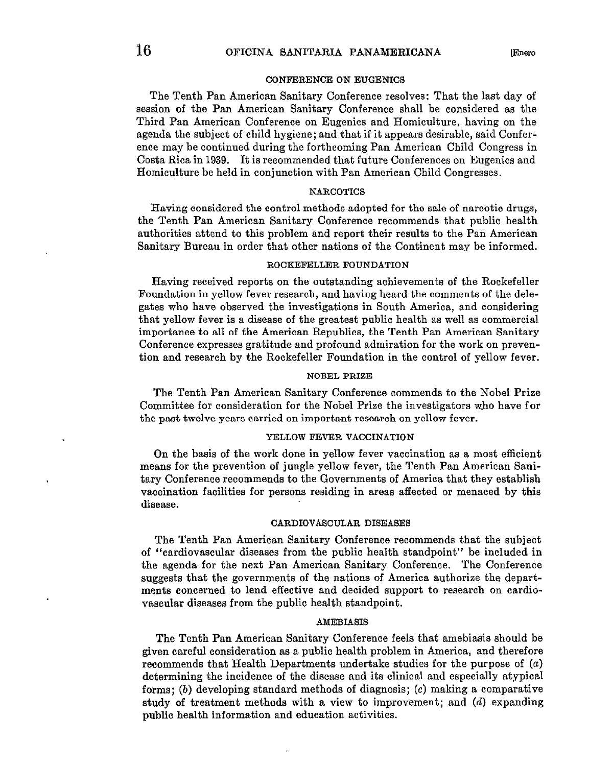The Tenth Pan American Sanitary Conference resolves: That the last day of session of the Pan American Sanitary Conference shall be considered as the Third Pan American Conference on Eugenics and Homiculture, having on the agenda the subject of Child hygiene; and that if it appears desirable, said Conference may be continued during the forthcoming Pan American Child Congress in Costa Rica in 1939. It is recommended that future Conferences on Eugenics and Homiculture be held in conjunction with Pan American Child Congresses.

#### **NARCOTICS**

Having considered the control methods adopted for the sale of narcotic drugs, the Tenth Pan American Sanitary Conference recommends that public health authorities attend to this problem and report their results to the Pan Ameritan Sanitary Bureau in order that other nations of the Continent may be informed.

#### ROCKEFELLER FOUNDATION

Having received reporte on the outstanding achievements of the Rockefeller Foundation in yellow fever research, and having heard the comments of the delegatea who have observed the investigations in South America, and considering that yellow fever is a disease of the greatest public health as well as commercial importance to al1 of the Ameritan Republics, the Tenth Pan American Sanitary Conference expresses gratitude and profound admiration for the work on prevention and research by the Rockefeller Foundation in the control of yellow fever.

#### NOBEL PRIZE

The Tenth Pan American Sanitary Conference commends to the Nobel Prize Committee for consideration for the Nobel Prize the investigators who have for the past twelve years carried on important research on yellow fever.

#### YELLOW FEVER VACCINATION

On the basis of the work done in yellow fever vaccination as a most efficient means for the prevention of jungle yellow fever, the Tenth Pan American Sanitary Conference recommends to the Governments of America that they establish vacoination facilities for persons residing in areas affected or menaced by this disease.

# CARDIOVASCULAR DISEASES

The Tenth Pan American Sanitary Conference recommends that the subject of "cardiovascular diseases from the public health standpoint" be included in the agenda for the next Pan American Sanitary Conference. The Conference suggests that the governments of the nations of America authorize the departments concerned to lend effective and decided support to research on cardiovascular diseases from the public health standpoint.

#### AMEBIASIS

The Tenth Pan American Sanitary Conference feels that amebiasis should be given careful consideration as a public health problem in America, and therefore recommends that Health Departments undertake studies for the purpose of (a) determining the incidence of the disease and its clinical and especially atypical forms; (b) developing standard methods of diagnosis;  $(c)$  making a comparative study of treatment methods with a view to improvement; and (d) expanding public health information and education activities.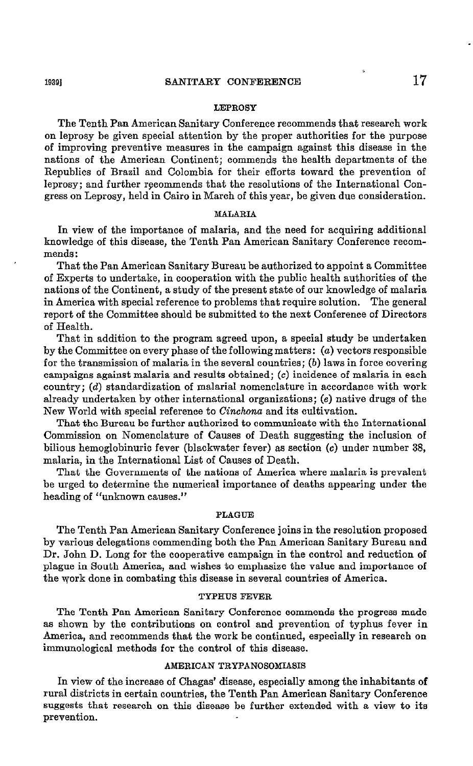#### LEPROSY

The Tenth Pan American Sanitary Conference recommends that research work on leprosy be given special attention by the proper authorities for the purpose of improving preventive measures in the campaign against this disease in the nations of the American Continent; commends the health departments of the Republics of Brasil and Colombia for their efforts toward the prevention of leprosy; and further rgcommends that the resolutions of the International Congress on Leprosy, held in Cairo in March of this year, be given due consideration.

## MALARIA

In view of the importance of malaria, and the need for acquiring additional knowledge of this disease, the Tenth Pan American Sanitary Conference recommends :

That the Pan American Sanitary Bureau be authorized to appoint a Committee of Experts to undertake, in cooperation with the public health authorities of the nations of the Continent, a study of the present state of our knowledge of malaria in America with special reference to problems that require solution. The general report of the Committee should be submitted to the next Conference of Directors of Health.

That in addition to the program agreed upon, a special study be undertaken by the Committee on every phase of the following matters:  $(a)$  vectors responsible for the transmission of malaria in the several countries;  $(b)$  laws in force covering campaigns against malaria and results obtained; (c) incidence of malaria in each country;  $(d)$  standardization of malarial nomenclature in accordance with work already undertaken by other international organizations; (e) native drugs of the New World with special reference to Cinchona and its cultivation.

That the Bureau be further authorized to communicate with the International Commission on Nomenclature of Causes of Death suggesting the inclusion of bilious hemoglobinuric fever (blackwater fever) as section (c) uuder number 38, malaria, in the International List of Causes of Death.

That the Governments of the nations of America where malaria is prevalent be urged to determine the numerical importance of deaths appearing under the heading of "unknown causes."

#### PLAGUE

The Tenth Pan American Sanitary Conference joins in the resolution proposed by various delegations commending both the Pan American Sanitary Bureau and Dr. John D. Long for the cooperative campaign in the control and reduction of plague in South America, and wishes to emphasize the value and importance of the work done in combating this disease in several countries of America.

### TYPHTJS FEVER

The Tenth Pan American Sanitary Conference commends the progress made as shown by the contributions on control and prevention of typhus fever in America, and recommends that the work be continued, especially in research on immunological methods for the control of this disease.

# AMERICAN TRYPANOSOMIASIS

In view of the increase of Chagas' disease, especially among the inhabitants of rural districts in certain countries, the Tenth Pan Ameritan Sanitary Conference suggests that research on this disease be further extended with a view to its prevention.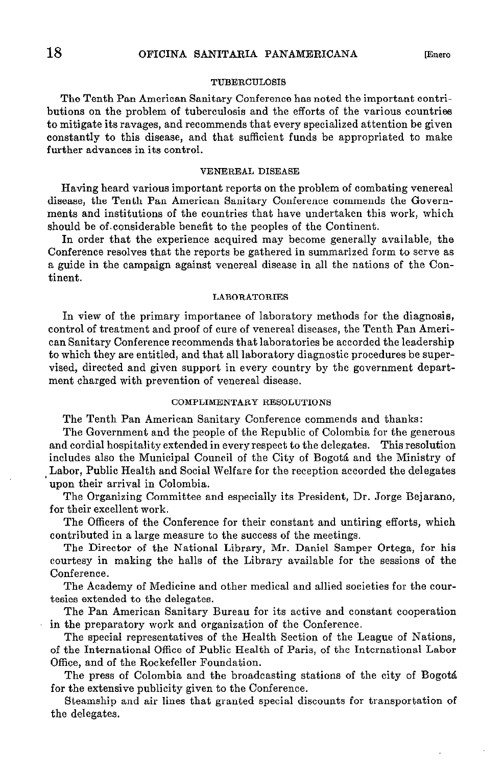### TUBERCULOSIS

The Tenth Pan American Sanitary Conference has noted the important contributions on the problem of tuberculosis and the efforts of the various countriee to mitigate its ravages, and recommends that every specialized attention be given constantly to this disease, and that sufficient funds be appropriated to make further advances in its control.

#### VENEREAL DISEASE

Having heard various important reports on the problem of combating venereal disease, the Tenth Pan American Sanitary Conference commends the Governments and institutions of the countries that have undertaken this work, which should be of.eonsiderable benefit to the peoples of the Continent.

In order that the experience acquired may become generally available, the Conference resolves that the reports be gathered in summarized form to serve as a guide in the campaign against venereal disease in al1 the nations of the Continent.

#### LABORATORIES

In view of the primary importance of laboratory methods for the diagnosis, control of treatment and proof of cure of venereal diseases, the Tenth Pan American Sanitary Conference recommends that laboratories be accorded the leadership to which they are entitled, and that al1 laboratory diagnostic procedures be supervised, directed and given support in every country by tbe government department charged with prevention of venereal disease.

### COMPLIMENTARY RESOLUTIONS

The Tenth Pan American Sanitary Conference commends and thanks:

The Government and the people of the Republic of Colombia for the generous and cordial hospitality extended in every respect to the delegates. This resolution includes also the Municipal Council of the City of Bogotá and tbe Ministry of Labor, Public Health and Social Welfare for the reception accorded the delegates upon their arrival in Colombia.

The Organizing Committee and especially its President, Dr. Jorge Bejarano, for tbeir excellent work.

The Officers of the Conference for their constant and untiring efforts, which contributed in a large measure to the success of the meetings.

The Director of the National Library, Mr. Daniel Samper Ortega, for his courtesy in making the halls of the Library available for tbe sessions of the Conference.

The Academy of Medicine and other medical and allied societies for the courtesies extended to the delegates.

The Pan American Sanitary Bureau for its active and constant cooperation in the preparatory work and organization of the Conference.

The special representatives of the Health Section of the League of Nations, of the International Office of Public Health of Paris, of the International Labor Office, and of the Rockefeller Foundation.

The press of Colombia and the broadcasting stations of the city of Bogotá for the extensive publicity given to the Conference.

Steamship and air lines that granted special discounts for transportation of tbe delegates.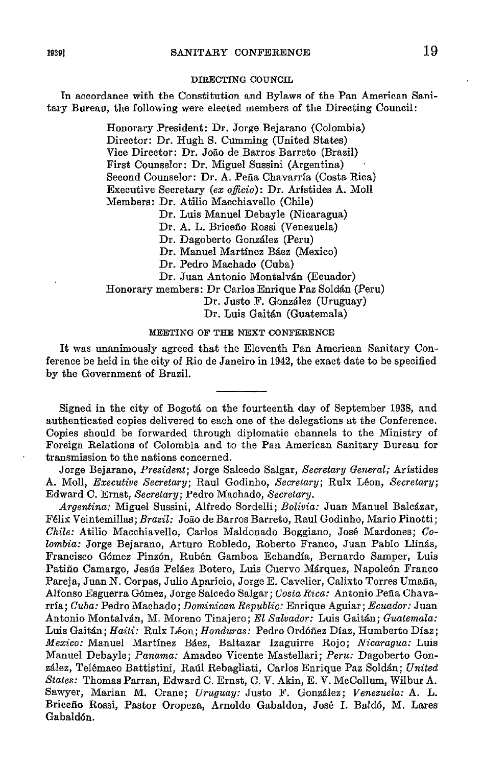#### DIRECTING COUNCIL

In accordance with the Constitution and Bylaws of the Pan American Sanitary Bureau, the following were elected members of the Directing Council:

> Honorary President: Dr. Jorge Bejarano (Colombia) Director: Dr. Hugh S. Cumming (United States) Vice Director: Dr. Joáo de Barros Barreto (Brasil) First Counselor: Dr. Miguel Sussini (Argentina) Second Counselor: Dr. A. Peña Chavarrfa (Costa Rica) Executive Secretary (ex officio): Dr. Arístides A. Moll Members: Dr. Atilio Macchiavello (Chile) Dr. Luis Manuel Debayle (Nicaragua) Dr. A. L. Briceño Rossi (Venezuela)

Dr. Dagoberto González (Peru)

Dr. Manuel Martfnez Báez (Mexico)

Dr. Pedro Machado (Cuba)

Dr. Juan Antonio Montalván (Ecuador)

Honorary members: Dr Carlos Enrique Paz Soldán (Peru)

Dr. Justo F. González (Uruguay)

Dr. Luis Gaitán (Guatemala)

# MEETING OF THE NEXT CONFERENCE

It was unanimously agreed that the Eleventh Pan American Sanitary Conference be held in the city of Rio de Janeiro in 1942, the exact date to be specified by the Government of Brasil.

Signed in the city of Bogotá on the fourteenth day of September 1938, and authentieated copies delivered to each one of the delegations at the Conference. Copies should be forwarded tbrough diplomatic channels to the Ministry of Foreign Relations of Colombia and to the Pan American Sanitary Bureau for transmission to the nations concerned.

Jorge Bejarano, President: Jorge Salcedo Salgar, Secretary General; Arístides A. Moll, Executive Secretary; Raul Godinho, Secretary; Rulx Léon, Secretary; Edward C. Ernst, Secretary; Pedro Machado, Secretary.

Argentina: Miguel Sussini, Alfredo Sordelli; Bolivia: Juan Manuel Balcázar, Félix Veintemillas; Brazil: João de Barros Barreto, Raul Godinho, Mario Pinotti; Chile: Atilio Macchiavello, Carlos Maldonado Boggiano, José Mardones; Co-Eombia: Jorge Bejarano, Arturo Robledo, Roberto Franco, Juan Pablo Llinás, Francisco Gómez Pinzón, Rubén Gamboa Echandfa, Bernardo Samper, Luis Patiño Camargo, Jesús Peláez Botero, Luis Cuervo Márquez, Napoleón Franco Pareja, Juan N. Corpas, Julio Aparicio, Jorge E. Cavelier, Calixto Torres Umaña, Alfonso Esguerra Gómez, Jorge Salcedo Salgar; Costa Rica: Antonio Peña Chavarria; Cuba: Pedro Machado; Dominican Republic: Enrique Aguiar; Ecuador: Juan Antonio Montalván, M. Moreno Tinajero; El Salvador: Luis Gaitán; Guatemala: Luis Gaitán; Haiti: Rulx Léon; Honduras: Pedro Ordóñez Díaz, Humberto Díaz; Mezico: Manuel Martfnez Báez, Baltazar Izaguirre Rojo; Nicaragua: Luis Manuel Debayle; Panama: Amadeo Vicente Mastellari; Peru: Dagoberto González, Telémaco Battistini, Raúl Rebagliati, Carlos Enrique Paz Soldán; United States: Thomas Parran, Edward C. Ernst, C. V. Akin, E. V. McCollum, Wilbur A. Sawyer, Marian M. Grane; Uruguay: Justo F. González; Venezuela: A. L. Briceño Rossi, Pastor Oropeza, Arnoldo Gabaldon, José 1. Baldó, M. Lares Gabaldón.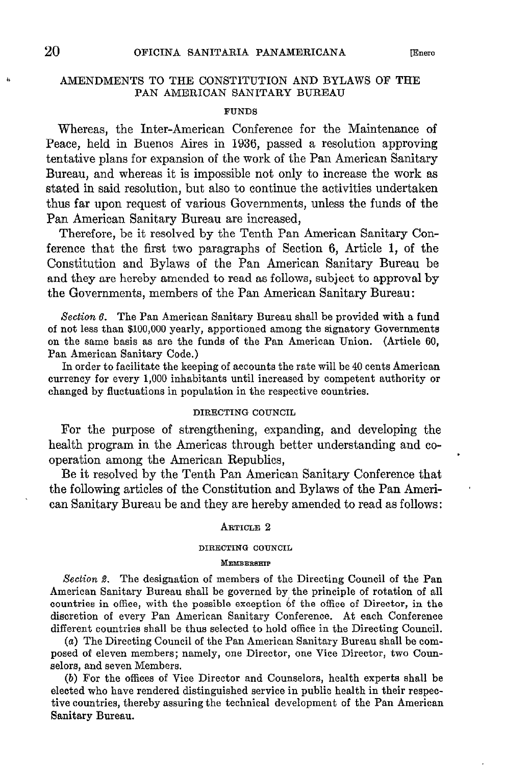# AMENDMENTS TO THE CONSTITUTION AND BYLAWS OF THE PAN AMERICAN SANITARY BUREAU

# **FUNDS**

Whereas, the Inter-American Conference for the Maintenance of Peace, held in Buenos Aires in 1936, passed a resolution approving tentative plans for expansion of the work of the Pan American Sanitary Bureau, and whereas it is impossible not only to increase the work as stated in said resolution, but also to continue the activities undertaken thus far upon request of various Governments, unless the funds of the Pan American Sanitary Bureau are increased,

Therefore, be it resolved by the Tenth Pan American Sanitary Conference that the first two paragraphs of Section 6, Article 1, of the Constitution and Bylaws of the Pan American Sanitary Bureau be and they are hereby amended to read as follows, subject to approval by the Governments, members of the Pan American Sanitary Bureau:

Section  $6$ . The Pan American Sanitary Bureau shall be provided with a fund of not less than \$100,000 yearly, apportioned among the signatory Governments on the same basis as are the funds of the Pan Ameritan Union. (Article 60, Pan American Sanitary Code.)

In order to facilitate the keeping of accounts the rate will be 40 cents American currency for every 1,000 inhabitants until increased by competent authority or changed by fluctuations in population in the respective countries.

# DIRECTING COUNCIL

For the purpose of strengthening, expanding, and developing the health program in the Americas through better understanding and cooperation among the American Republics,

Be it resolved by the Tenth Pan American Sanitary Conference that the following articles of the Constitution and Bylaws of the Pan American Sanitary Bureau be and they are hereby amended to read as follows:

### ARTICLE 2

#### DIRECTING COUNCIL

#### MEMBERSHIP

Section 2. The designation of members of the Directing Council of the Pan American Sanitary Bureau shall be governed by the principle of rotation of all countries in Office, with the possible exception 6f the Office of Director, in the discretion of every Pan American Sanitary Conference. At each Conference different countries shall be thus selected to hold Office in the Directing Council.

(a) The Directing Council of the Pan American Sanitary Bureau shall be composed of eleven members; namely, one Director, one Vice Director, two Counaelors, and seven Members.

(b) For the offices of Vice Director and Counselors, health experta shall be elected who have rendered distinguished service in public health in their respective countries, thereby assuring the technical development of the Pan American Sanitary Bureau.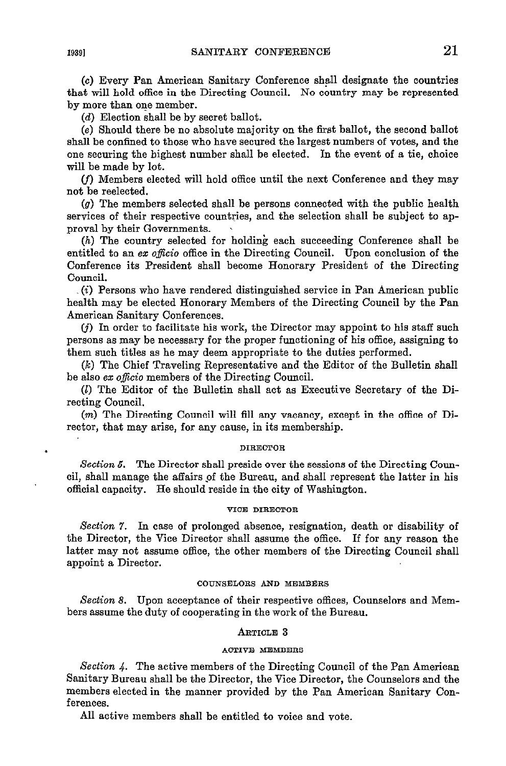(c) Every Pan Ameritan Sanitary Conference shall designate the countries that will hold Office in the Directing Council. No country may be represented by more than one member.

(d) Election shall be by secret ballot.

(e) Should there be no absolute majority on the first ballot, the second ballet shall be confined to those who have secured the largest numbers of votes, and the one securing the bighest number shall be elected. In the event of a tie, choice will be made by lot.

cf) Members elected will hold Office until the next Conference and they may not be reelected.

(9) The members selected shall be persons connected with the public health services of their respective countries, and the selection shall be subject to approval by their Governments.

(h) The country selected for holding each succeeding Conference shall be entitled to an ex officio office in the Directing Council. Upon conclusion of the Conference ita President shall become Honorary President of the Directing Council.

 $(2)$  Persons who have rendered distinguished service in Pan American public health may be elected Honorary Members of the Directing Council by the Pan American Sanitary Conferences.

 $(j)$  In order to facilitate his work, the Director may appoint to his staff such persona as may be necessary for the proper functioning of his Office, assigning to them such titles as he may deem appropriate to the duties performed.

 $(k)$  The Chief Traveling Representative and the Editor of the Bulletin shall be also ez oficio members of the Directing Council.

(2) The Editor of the Bulletin shall act as Executive Secretary of the Directing Council.

 $(m)$  The Directing Council will fill any vacancy, except in the office of Director, that may arise, for any cause, in ita membership.

# . DIRECTORS IN THE SECTION OF  $\mathbf{D} \mathbf{I} \mathbf{R} \mathbf{E} \mathbf{C} \mathbf{T} \mathbf{O}$

Section 5. The Director shall preside over the sessions of the Directing Council, shall manage the affairs pf the Bureau, and shall represent the latter in his official capacity. He should reside in the city of Washington.

#### VICE DIRECTOR

Section 7. In case of prolonged absence, resignation, death or disability of the Director, the Vice Director shall assume the Office. If for any reason the latter may not assume office, the other members of the Directing Council shall appoint a Director.

### COUNSELORS AND MEMBERS

Section 8. Upon acceptance of their respective offices, Counselors and Members assume the duty of cooperating in the work of the Bureau.

### ARTICLE 3

### ACTIVE MEMBERS

Section 4. The active members of the Directing Council of the Pan American Sanitary Bureau shall be the Director, the Vice Director, the Counselors and the members elected in the manner provided by the Pan American Sanitary Conferences.

Al1 active members shall be entitled to voice and vote.